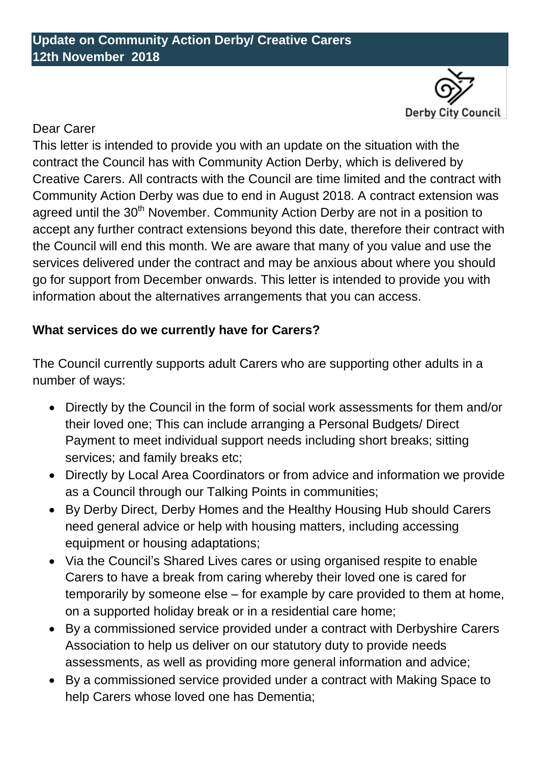

## Dear Carer

This letter is intended to provide you with an update on the situation with the contract the Council has with Community Action Derby, which is delivered by Creative Carers. All contracts with the Council are time limited and the contract with Community Action Derby was due to end in August 2018. A contract extension was agreed until the 30<sup>th</sup> November. Community Action Derby are not in a position to accept any further contract extensions beyond this date, therefore their contract with the Council will end this month. We are aware that many of you value and use the services delivered under the contract and may be anxious about where you should go for support from December onwards. This letter is intended to provide you with information about the alternatives arrangements that you can access.

## **What services do we currently have for Carers?**

The Council currently supports adult Carers who are supporting other adults in a number of ways:

- Directly by the Council in the form of social work assessments for them and/or their loved one; This can include arranging a Personal Budgets/ Direct Payment to meet individual support needs including short breaks; sitting services; and family breaks etc;
- Directly by Local Area Coordinators or from advice and information we provide as a Council through our Talking Points in communities;
- By Derby Direct, Derby Homes and the Healthy Housing Hub should Carers need general advice or help with housing matters, including accessing equipment or housing adaptations;
- Via the Council's Shared Lives cares or using organised respite to enable Carers to have a break from caring whereby their loved one is cared for temporarily by someone else – for example by care provided to them at home, on a supported holiday break or in a residential care home;
- By a commissioned service provided under a contract with Derbyshire Carers Association to help us deliver on our statutory duty to provide needs assessments, as well as providing more general information and advice;
- By a commissioned service provided under a contract with Making Space to help Carers whose loved one has Dementia;